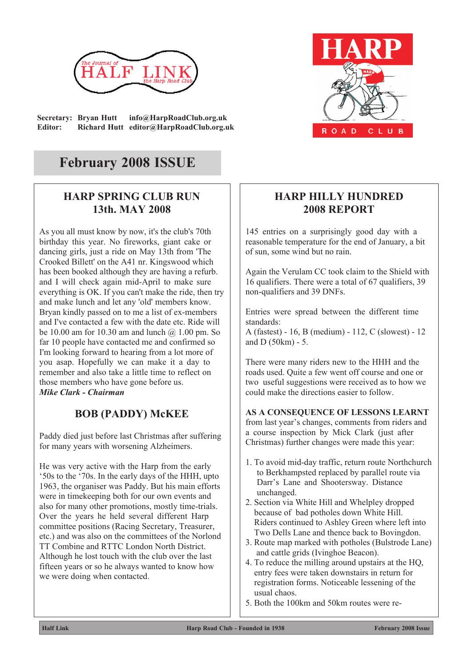

**Secretary: Bryan Hutt info@HarpRoadClub.org.uk Editor: Richard Hutt editor@HarpRoadClub.org.uk**

# CLUB ROAD

## **February 2008 ISSUE**

## **HARP SPRING CLUB RUN 13th. MAY 2008**

As you all must know by now, it's the club's 70th birthday this year. No fireworks, giant cake or dancing girls, just a ride on May 13th from 'The Crooked Billett' on the A41 nr. Kingswood which has been booked although they are having a refurb. and I will check again mid-April to make sure everything is OK. If you can't make the ride, then try and make lunch and let any 'old' members know. Bryan kindly passed on to me a list of ex-members and I've contacted a few with the date etc. Ride will be 10.00 am for 10.30 am and lunch  $\omega$  1.00 pm. So far 10 people have contacted me and confirmed so I'm looking forward to hearing from a lot more of you asap. Hopefully we can make it a day to remember and also take a little time to reflect on those members who have gone before us. *Mike Clark - Chairman*

## **BOB (PADDY) McKEE**

Paddy died just before last Christmas after suffering for many years with worsening Alzheimers.

He was very active with the Harp from the early '50s to the '70s. In the early days of the HHH, upto 1963, the organiser was Paddy. But his main efforts were in timekeeping both for our own events and also for many other promotions, mostly time-trials. Over the years he held several different Harp committee positions (Racing Secretary, Treasurer, etc.) and was also on the committees of the Norlond TT Combine and RTTC London North District. Although he lost touch with the club over the last fifteen years or so he always wanted to know how we were doing when contacted.

## **HARP HILLY HUNDRED 2008 REPORT**

145 entries on a surprisingly good day with a reasonable temperature for the end of January, a bit of sun, some wind but no rain.

Again the Verulam CC took claim to the Shield with 16 qualifiers. There were a total of 67 qualifiers, 39 non-qualifiers and 39 DNFs.

Entries were spread between the different time standards:

A (fastest) - 16, B (medium) - 112, C (slowest) - 12 and D (50km) - 5.

There were many riders new to the HHH and the roads used. Quite a few went off course and one or two useful suggestions were received as to how we could make the directions easier to follow.

#### **AS A CONSEQUENCE OF LESSONS LEARNT**

from last year's changes, comments from riders and a course inspection by Mick Clark (just after Christmas) further changes were made this year:

- 1. To avoid mid-day traffic, return route Northchurch to Berkhampsted replaced by parallel route via Darr's Lane and Shootersway. Distance unchanged.
- 2. Section via White Hill and Whelpley dropped because of bad potholes down White Hill. Riders continued to Ashley Green where left into Two Dells Lane and thence back to Bovingdon.
- 3. Route map marked with potholes (Bulstrode Lane) and cattle grids (Ivinghoe Beacon).
- 4. To reduce the milling around upstairs at the HQ, entry fees were taken downstairs in return for registration forms. Noticeable lessening of the usual chaos.
- 5. Both the 100km and 50km routes were re-